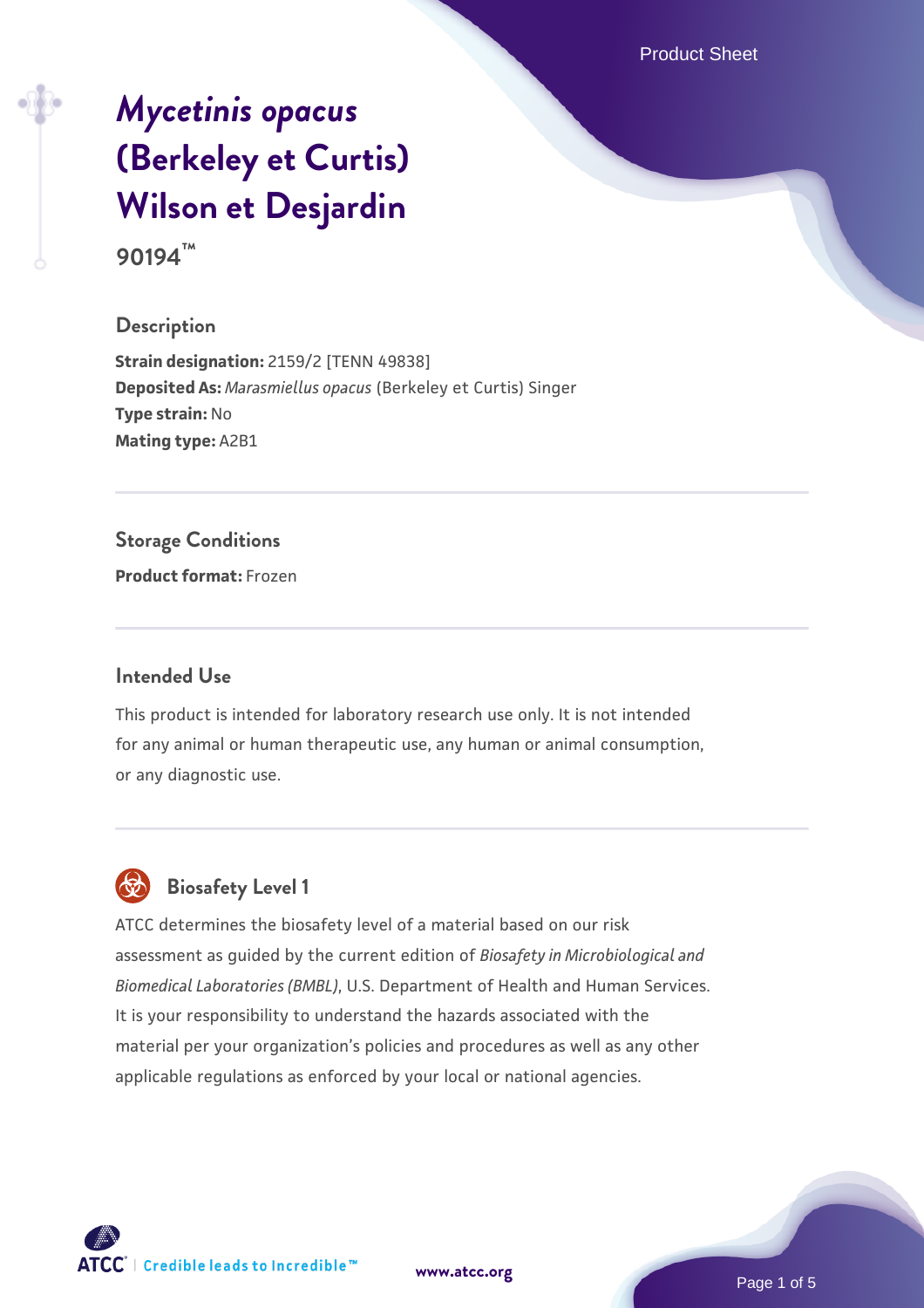Product Sheet

# *[Mycetinis opacus](https://www.atcc.org/products/90194)* **[\(Berkeley et Curtis\)](https://www.atcc.org/products/90194) [Wilson et Desjardin](https://www.atcc.org/products/90194)**

**90194™**

#### **Description**

**Strain designation:** 2159/2 [TENN 49838] **Deposited As:** *Marasmiellus opacus* (Berkeley et Curtis) Singer **Type strain:** No **Mating type:** A2B1

#### **Storage Conditions**

**Product format:** Frozen

#### **Intended Use**

This product is intended for laboratory research use only. It is not intended for any animal or human therapeutic use, any human or animal consumption, or any diagnostic use.



# **Biosafety Level 1**

ATCC determines the biosafety level of a material based on our risk assessment as guided by the current edition of *Biosafety in Microbiological and Biomedical Laboratories (BMBL)*, U.S. Department of Health and Human Services. It is your responsibility to understand the hazards associated with the material per your organization's policies and procedures as well as any other applicable regulations as enforced by your local or national agencies.

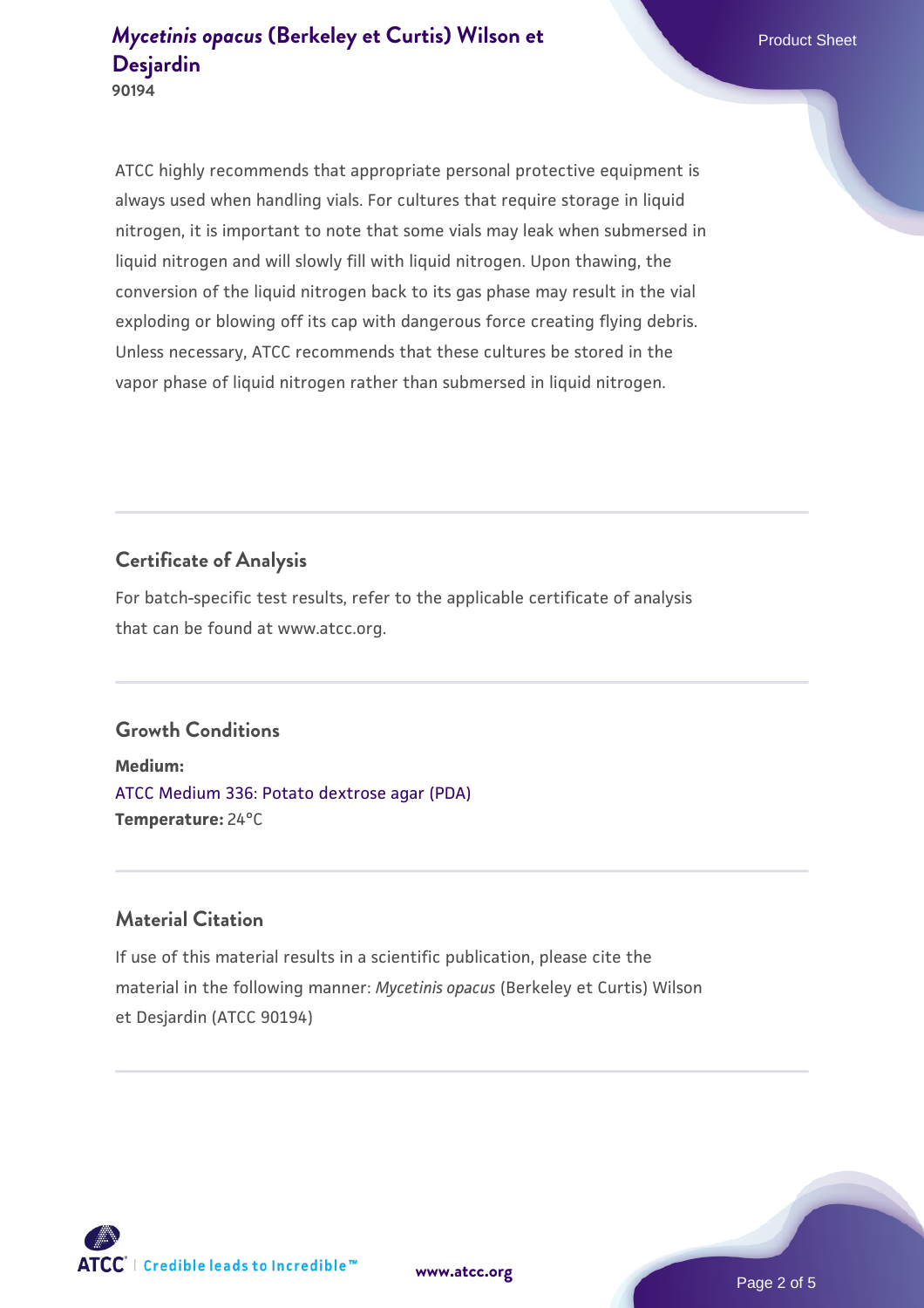ATCC highly recommends that appropriate personal protective equipment is always used when handling vials. For cultures that require storage in liquid nitrogen, it is important to note that some vials may leak when submersed in liquid nitrogen and will slowly fill with liquid nitrogen. Upon thawing, the conversion of the liquid nitrogen back to its gas phase may result in the vial exploding or blowing off its cap with dangerous force creating flying debris. Unless necessary, ATCC recommends that these cultures be stored in the vapor phase of liquid nitrogen rather than submersed in liquid nitrogen.

# **Certificate of Analysis**

For batch-specific test results, refer to the applicable certificate of analysis that can be found at www.atcc.org.

#### **Growth Conditions**

**Medium:**  [ATCC Medium 336: Potato dextrose agar \(PDA\)](https://www.atcc.org/-/media/product-assets/documents/microbial-media-formulations/3/3/6/atcc-medium-336.pdf?rev=d9160ad44d934cd8b65175461abbf3b9) **Temperature:** 24°C

### **Material Citation**

If use of this material results in a scientific publication, please cite the material in the following manner: *Mycetinis opacus* (Berkeley et Curtis) Wilson et Desjardin (ATCC 90194)

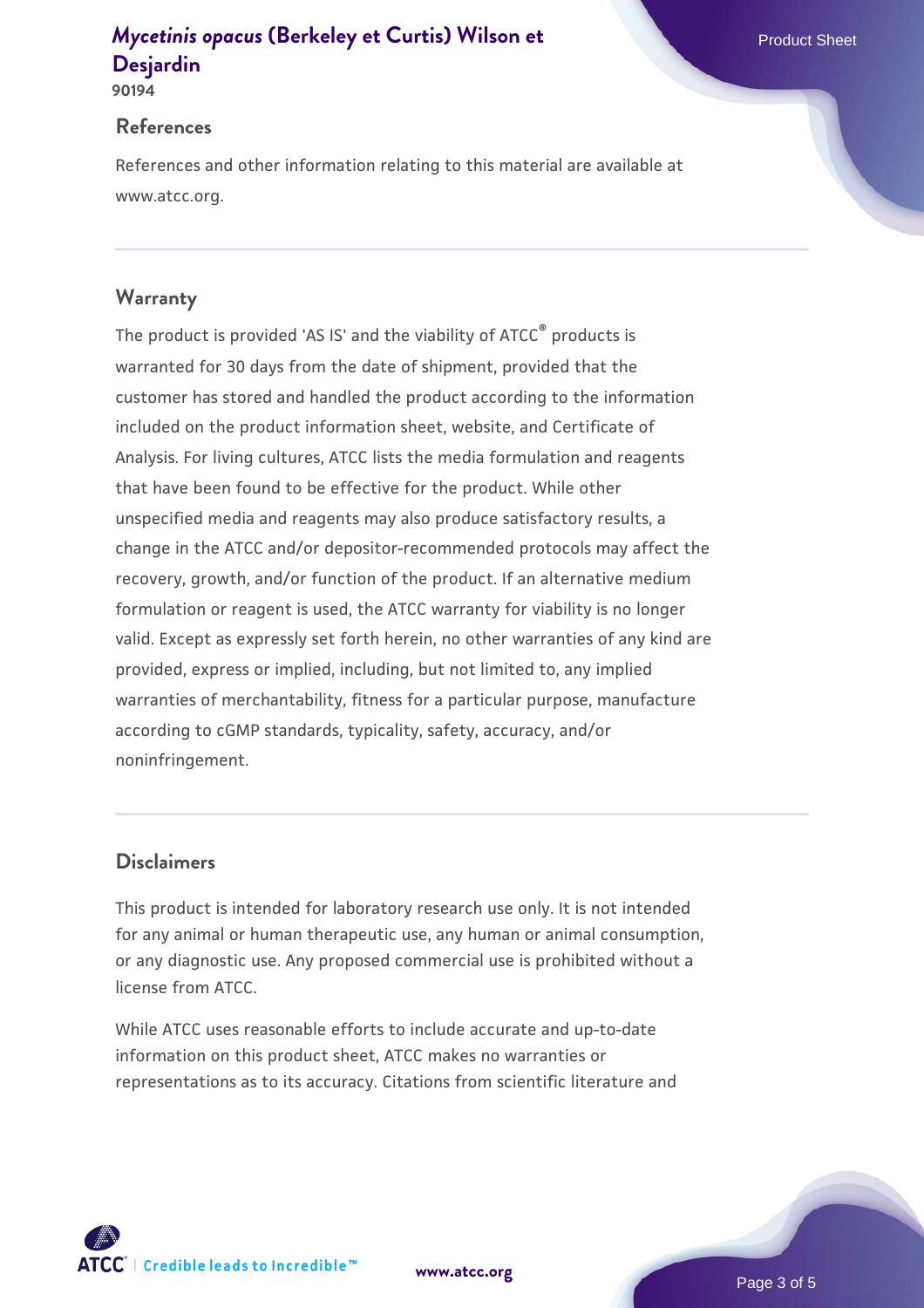# *[Mycetinis opacus](https://www.atcc.org/products/90194)* **[\(Berkeley et Curtis\) Wilson et](https://www.atcc.org/products/90194) Product Sheet Product Sheet [Desjardin](https://www.atcc.org/products/90194)**

**90194**

#### **References**

References and other information relating to this material are available at www.atcc.org.

## **Warranty**

The product is provided 'AS IS' and the viability of ATCC® products is warranted for 30 days from the date of shipment, provided that the customer has stored and handled the product according to the information included on the product information sheet, website, and Certificate of Analysis. For living cultures, ATCC lists the media formulation and reagents that have been found to be effective for the product. While other unspecified media and reagents may also produce satisfactory results, a change in the ATCC and/or depositor-recommended protocols may affect the recovery, growth, and/or function of the product. If an alternative medium formulation or reagent is used, the ATCC warranty for viability is no longer valid. Except as expressly set forth herein, no other warranties of any kind are provided, express or implied, including, but not limited to, any implied warranties of merchantability, fitness for a particular purpose, manufacture according to cGMP standards, typicality, safety, accuracy, and/or noninfringement.

## **Disclaimers**

This product is intended for laboratory research use only. It is not intended for any animal or human therapeutic use, any human or animal consumption, or any diagnostic use. Any proposed commercial use is prohibited without a license from ATCC.

While ATCC uses reasonable efforts to include accurate and up-to-date information on this product sheet, ATCC makes no warranties or representations as to its accuracy. Citations from scientific literature and

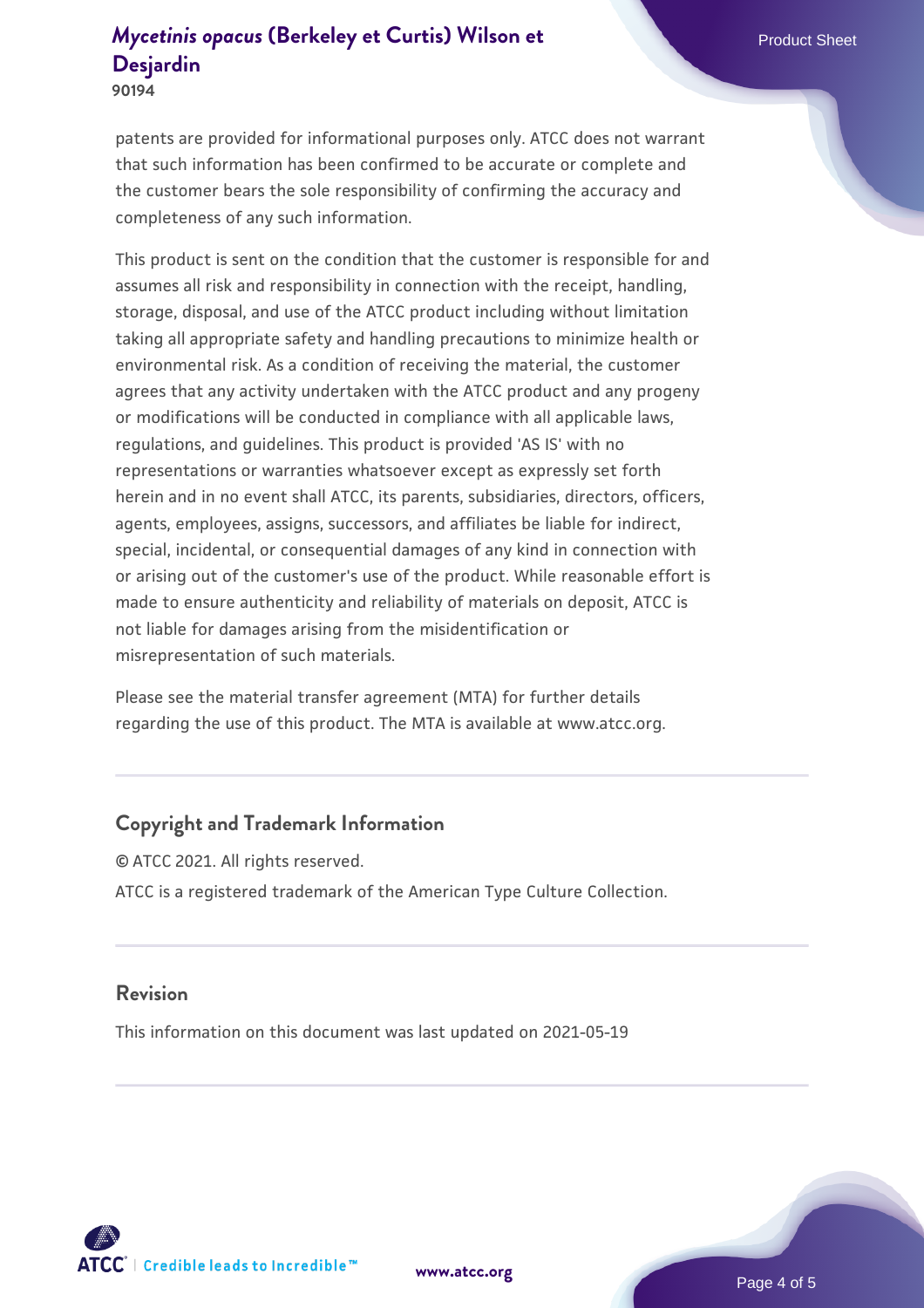# *[Mycetinis opacus](https://www.atcc.org/products/90194)* **[\(Berkeley et Curtis\) Wilson et](https://www.atcc.org/products/90194) Product Sheet Product Sheet [Desjardin](https://www.atcc.org/products/90194)**

**90194**

patents are provided for informational purposes only. ATCC does not warrant that such information has been confirmed to be accurate or complete and the customer bears the sole responsibility of confirming the accuracy and completeness of any such information.

This product is sent on the condition that the customer is responsible for and assumes all risk and responsibility in connection with the receipt, handling, storage, disposal, and use of the ATCC product including without limitation taking all appropriate safety and handling precautions to minimize health or environmental risk. As a condition of receiving the material, the customer agrees that any activity undertaken with the ATCC product and any progeny or modifications will be conducted in compliance with all applicable laws, regulations, and guidelines. This product is provided 'AS IS' with no representations or warranties whatsoever except as expressly set forth herein and in no event shall ATCC, its parents, subsidiaries, directors, officers, agents, employees, assigns, successors, and affiliates be liable for indirect, special, incidental, or consequential damages of any kind in connection with or arising out of the customer's use of the product. While reasonable effort is made to ensure authenticity and reliability of materials on deposit, ATCC is not liable for damages arising from the misidentification or misrepresentation of such materials.

Please see the material transfer agreement (MTA) for further details regarding the use of this product. The MTA is available at www.atcc.org.

## **Copyright and Trademark Information**

© ATCC 2021. All rights reserved. ATCC is a registered trademark of the American Type Culture Collection.

#### **Revision**

This information on this document was last updated on 2021-05-19



**[www.atcc.org](http://www.atcc.org)**

Page 4 of 5